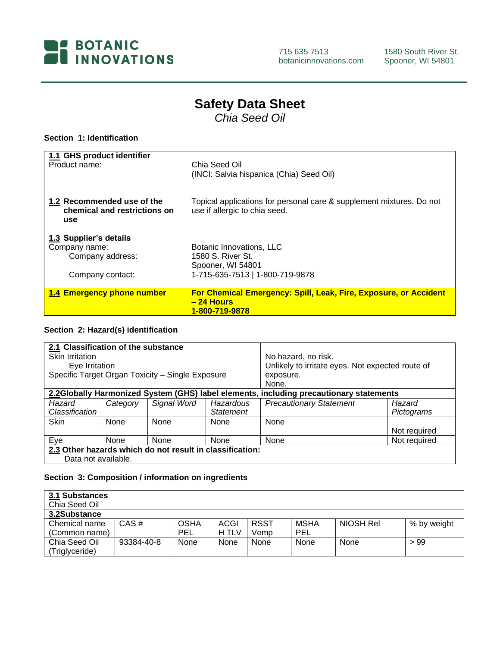

715 635 7513 botanicinnovations.com

# **Safety Data Sheet**

*Chia Seed Oil*

#### **Section 1: Identification**

| 1.1 GHS product identifier                                        | Chia Seed Oil                                                                                         |
|-------------------------------------------------------------------|-------------------------------------------------------------------------------------------------------|
| Product name:                                                     | (INCI: Salvia hispanica (Chia) Seed Oil)                                                              |
| 1.2 Recommended use of the<br>chemical and restrictions on<br>use | Topical applications for personal care & supplement mixtures. Do not<br>use if allergic to chia seed. |
| 1.3 Supplier's details                                            | Botanic Innovations, LLC                                                                              |
| Company name:                                                     | 1580 S. River St.                                                                                     |
| Company address:                                                  | Spooner, WI 54801                                                                                     |
| Company contact:                                                  | 1-715-635-7513   1-800-719-9878                                                                       |
| 1.4 Emergency phone number                                        | For Chemical Emergency: Spill, Leak, Fire, Exposure, or Accident<br>$-24$ Hours<br>1-800-719-9878     |

#### **Section 2: Hazard(s) identification**

| 2.1 Classification of the substance<br>Skin Irritation<br>Eye Irritation<br>Specific Target Organ Toxicity - Single Exposure |          |                                                          | No hazard, no risk.<br>Unlikely to irritate eyes. Not expected route of<br>exposure.<br>None. |                                |                      |
|------------------------------------------------------------------------------------------------------------------------------|----------|----------------------------------------------------------|-----------------------------------------------------------------------------------------------|--------------------------------|----------------------|
| 2.2Globally Harmonized System (GHS) label elements, including precautionary statements                                       |          |                                                          |                                                                                               |                                |                      |
| Hazard<br>Classification                                                                                                     | Category | Signal Word                                              | Hazardous<br><b>Statement</b>                                                                 | <b>Precautionary Statement</b> | Hazard<br>Pictograms |
| <b>Skin</b>                                                                                                                  | None     | None                                                     | None                                                                                          | None                           | Not required         |
| Eye                                                                                                                          | None     | None                                                     | None                                                                                          | None                           | Not required         |
| Data not available.                                                                                                          |          | 2.3 Other hazards which do not result in classification: |                                                                                               |                                |                      |

## **Section 3: Composition / information on ingredients**

| 3.1 Substances<br>Chia Seed Oil |            |             |       |             |            |           |             |
|---------------------------------|------------|-------------|-------|-------------|------------|-----------|-------------|
| 3.2Substance                    |            |             |       |             |            |           |             |
| Chemical name                   | $CAS \#$   | <b>OSHA</b> | ACGI  | <b>RSST</b> | MSHA       | NIOSH Rel | % by weight |
| (Common name)                   |            | <b>PEL</b>  | H TLV | Vemp        | <b>PEL</b> |           |             |
| Chia Seed Oil                   | 93384-40-8 | None        | None  | None        | None       | None      | >99         |
| (Triglyceride)                  |            |             |       |             |            |           |             |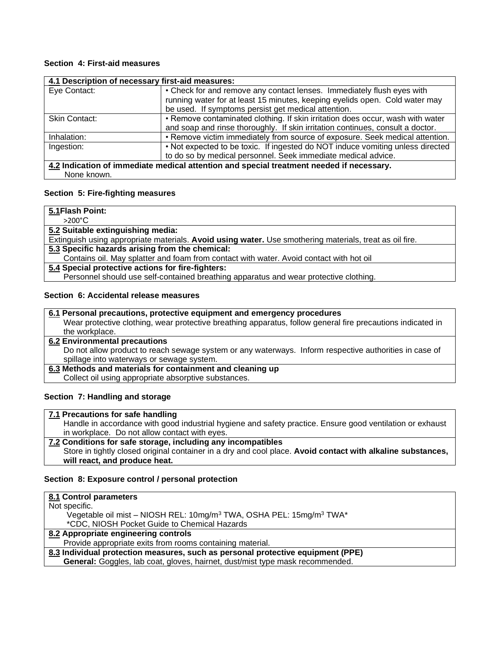#### **Section 4: First-aid measures**

| 4.1 Description of necessary first-aid measures: |                                                                                          |
|--------------------------------------------------|------------------------------------------------------------------------------------------|
| Eye Contact:                                     | • Check for and remove any contact lenses. Immediately flush eyes with                   |
|                                                  | running water for at least 15 minutes, keeping eyelids open. Cold water may              |
|                                                  | be used. If symptoms persist get medical attention.                                      |
| Skin Contact:                                    | • Remove contaminated clothing. If skin irritation does occur, wash with water           |
|                                                  | and soap and rinse thoroughly. If skin irritation continues, consult a doctor.           |
| Inhalation:                                      | • Remove victim immediately from source of exposure. Seek medical attention.             |
| Ingestion:                                       | . Not expected to be toxic. If ingested do NOT induce vomiting unless directed           |
|                                                  | to do so by medical personnel. Seek immediate medical advice.                            |
|                                                  | 4.2 Indication of immediate medical attention and special treatment needed if necessary. |
| None known.                                      |                                                                                          |

# **Section 5: Fire-fighting measures**

| 5.1 Flash Point:                                                                                        |
|---------------------------------------------------------------------------------------------------------|
| $>200^{\circ}$ C                                                                                        |
| 5.2 Suitable extinguishing media:                                                                       |
| Extinguish using appropriate materials. Avoid using water. Use smothering materials, treat as oil fire. |
| 5.3 Specific hazards arising from the chemical:                                                         |
| Contains oil. May splatter and foam from contact with water. Avoid contact with hot oil                 |
| 5.4 Special protective actions for fire-fighters:                                                       |
| Personnel should use self-contained breathing apparatus and wear protective clothing.                   |

#### **Section 6: Accidental release measures**

| 6.1 Personal precautions, protective equipment and emergency procedures                                     |
|-------------------------------------------------------------------------------------------------------------|
| Wear protective clothing, wear protective breathing apparatus, follow general fire precautions indicated in |
| the workplace.                                                                                              |
| <b>6.2 Environmental precautions</b>                                                                        |
| Do not allow product to reach sewage system or any waterways. Inform respective authorities in case of      |
| spillage into waterways or sewage system.                                                                   |
| 6.3 Methods and materials for containment and cleaning up                                                   |
| Collect oil using appropriate absorptive substances.                                                        |

#### **Section 7: Handling and storage**

#### **7.1 Precautions for safe handling**

Handle in accordance with good industrial hygiene and safety practice. Ensure good ventilation or exhaust in workplace. Do not allow contact with eyes. **7.2 Conditions for safe storage, including any incompatibles**

Store in tightly closed original container in a dry and cool place. **Avoid contact with alkaline substances, will react, and produce heat.**

#### **Section 8: Exposure control / personal protection**

| 8.1 Control parameters                                                                      |
|---------------------------------------------------------------------------------------------|
| Not specific.                                                                               |
| Vegetable oil mist - NIOSH REL: 10mg/m <sup>3</sup> TWA, OSHA PEL: 15mg/m <sup>3</sup> TWA* |
| *CDC, NIOSH Pocket Guide to Chemical Hazards                                                |
| 8.2 Appropriate engineering controls                                                        |
| Provide appropriate exits from rooms containing material.                                   |
| 8.3 Individual protection measures, such as personal protective equipment (PPE)             |
| General: Goggles, lab coat, gloves, hairnet, dust/mist type mask recommended.               |
|                                                                                             |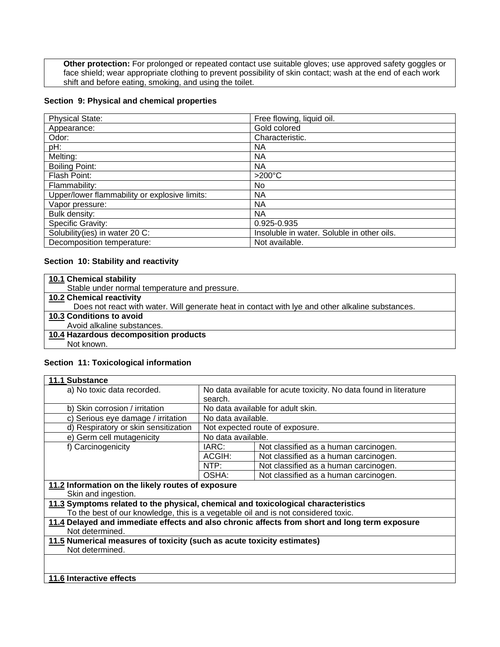**Other protection:** For prolonged or repeated contact use suitable gloves; use approved safety goggles or face shield; wear appropriate clothing to prevent possibility of skin contact; wash at the end of each work shift and before eating, smoking, and using the toilet.

#### **Section 9: Physical and chemical properties**

| <b>Physical State:</b>                        | Free flowing, liquid oil.                  |
|-----------------------------------------------|--------------------------------------------|
| Appearance:                                   | Gold colored                               |
| Odor:                                         | Characteristic.                            |
| pH:                                           | ΝA                                         |
| Melting:                                      | ΝA                                         |
| <b>Boiling Point:</b>                         | <b>NA</b>                                  |
| Flash Point:                                  | $>200^{\circ}$ C                           |
| Flammability:                                 | No.                                        |
| Upper/lower flammability or explosive limits: | <b>NA</b>                                  |
| Vapor pressure:                               | ΝA                                         |
| Bulk density:                                 | <b>NA</b>                                  |
| Specific Gravity:                             | 0.925-0.935                                |
| Solubility(ies) in water 20 C:                | Insoluble in water. Soluble in other oils. |
| Decomposition temperature:                    | Not available.                             |

#### **Section 10: Stability and reactivity**

| 10.1 Chemical stability                                                                          |
|--------------------------------------------------------------------------------------------------|
| Stable under normal temperature and pressure.                                                    |
| <b>10.2 Chemical reactivity</b>                                                                  |
| Does not react with water. Will generate heat in contact with lye and other alkaline substances. |
| 10.3 Conditions to avoid                                                                         |
| Avoid alkaline substances.                                                                       |
| 10.4 Hazardous decomposition products                                                            |
| Not known.                                                                                       |

#### **Section 11: Toxicological information**

| 11.1 Substance                                                                     |                                                                   |                                                                                               |  |
|------------------------------------------------------------------------------------|-------------------------------------------------------------------|-----------------------------------------------------------------------------------------------|--|
| a) No toxic data recorded.                                                         | No data available for acute toxicity. No data found in literature |                                                                                               |  |
|                                                                                    | search.                                                           |                                                                                               |  |
| b) Skin corrosion / irritation                                                     |                                                                   | No data available for adult skin.                                                             |  |
| c) Serious eye damage / irritation                                                 | No data available.                                                |                                                                                               |  |
| d) Respiratory or skin sensitization                                               |                                                                   | Not expected route of exposure.                                                               |  |
| e) Germ cell mutagenicity                                                          | No data available.                                                |                                                                                               |  |
| f) Carcinogenicity                                                                 | IARC:                                                             | Not classified as a human carcinogen.                                                         |  |
|                                                                                    | ACGIH:                                                            | Not classified as a human carcinogen.                                                         |  |
|                                                                                    | NTP:                                                              | Not classified as a human carcinogen.                                                         |  |
|                                                                                    | OSHA:                                                             | Not classified as a human carcinogen.                                                         |  |
| 11.2 Information on the likely routes of exposure                                  |                                                                   |                                                                                               |  |
| Skin and ingestion.                                                                |                                                                   |                                                                                               |  |
| 11.3 Symptoms related to the physical, chemical and toxicological characteristics  |                                                                   |                                                                                               |  |
| To the best of our knowledge, this is a vegetable oil and is not considered toxic. |                                                                   |                                                                                               |  |
|                                                                                    |                                                                   | 11.4 Delayed and immediate effects and also chronic affects from short and long term exposure |  |
| Not determined.                                                                    |                                                                   |                                                                                               |  |
| 11.5 Numerical measures of toxicity (such as acute toxicity estimates)             |                                                                   |                                                                                               |  |
| Not determined.                                                                    |                                                                   |                                                                                               |  |
|                                                                                    |                                                                   |                                                                                               |  |
|                                                                                    |                                                                   |                                                                                               |  |
| 11.6 Interactive effects                                                           |                                                                   |                                                                                               |  |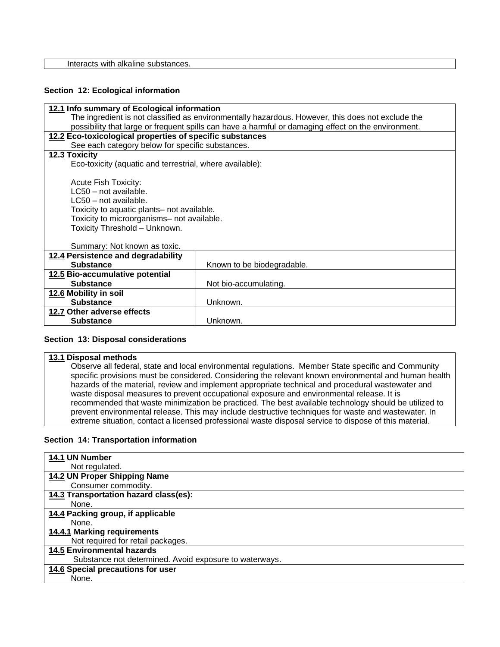Interacts with alkaline substances.

#### **Section 12: Ecological information**

| 12.1 Info summary of Ecological information                                                         |                                            |  |  |  |  |
|-----------------------------------------------------------------------------------------------------|--------------------------------------------|--|--|--|--|
| The ingredient is not classified as environmentally hazardous. However, this does not exclude the   |                                            |  |  |  |  |
| possibility that large or frequent spills can have a harmful or damaging effect on the environment. |                                            |  |  |  |  |
| 12.2 Eco-toxicological properties of specific substances                                            |                                            |  |  |  |  |
| See each category below for specific substances.                                                    |                                            |  |  |  |  |
| 12.3 Toxicity                                                                                       |                                            |  |  |  |  |
| Eco-toxicity (aquatic and terrestrial, where available):                                            |                                            |  |  |  |  |
|                                                                                                     |                                            |  |  |  |  |
| <b>Acute Fish Toxicity:</b>                                                                         |                                            |  |  |  |  |
|                                                                                                     | LC50 - not available.                      |  |  |  |  |
| LC50 - not available.                                                                               |                                            |  |  |  |  |
|                                                                                                     | Toxicity to aquatic plants- not available. |  |  |  |  |
| Toxicity to microorganisms- not available.                                                          |                                            |  |  |  |  |
| Toxicity Threshold - Unknown.                                                                       |                                            |  |  |  |  |
| Summary: Not known as toxic.                                                                        |                                            |  |  |  |  |
| 12.4 Persistence and degradability                                                                  |                                            |  |  |  |  |
| <b>Substance</b><br>Known to be biodegradable.                                                      |                                            |  |  |  |  |
| 12.5 Bio-accumulative potential                                                                     |                                            |  |  |  |  |
| <b>Substance</b><br>Not bio-accumulating.                                                           |                                            |  |  |  |  |
| 12.6 Mobility in soil                                                                               |                                            |  |  |  |  |
| <b>Substance</b>                                                                                    | Unknown.                                   |  |  |  |  |
| 12.7 Other adverse effects                                                                          |                                            |  |  |  |  |
| <b>Substance</b>                                                                                    | Unknown.                                   |  |  |  |  |
|                                                                                                     |                                            |  |  |  |  |

#### **Section 13: Disposal considerations**

#### **13.1 Disposal methods**

Observe all federal, state and local environmental regulations. Member State specific and Community specific provisions must be considered. Considering the relevant known environmental and human health hazards of the material, review and implement appropriate technical and procedural wastewater and waste disposal measures to prevent occupational exposure and environmental release. It is recommended that waste minimization be practiced. The best available technology should be utilized to prevent environmental release. This may include destructive techniques for waste and wastewater. In extreme situation, contact a licensed professional waste disposal service to dispose of this material.

#### **Section 14: Transportation information**

| 14.1 UN Number                                         |
|--------------------------------------------------------|
| Not regulated.                                         |
| 14.2 UN Proper Shipping Name                           |
| Consumer commodity.                                    |
| 14.3 Transportation hazard class(es):                  |
| None.                                                  |
| 14.4 Packing group, if applicable                      |
| None.                                                  |
| 14.4.1 Marking requirements                            |
| Not required for retail packages.                      |
| <b>14.5 Environmental hazards</b>                      |
| Substance not determined. Avoid exposure to waterways. |
| 14.6 Special precautions for user                      |
| None.                                                  |
|                                                        |